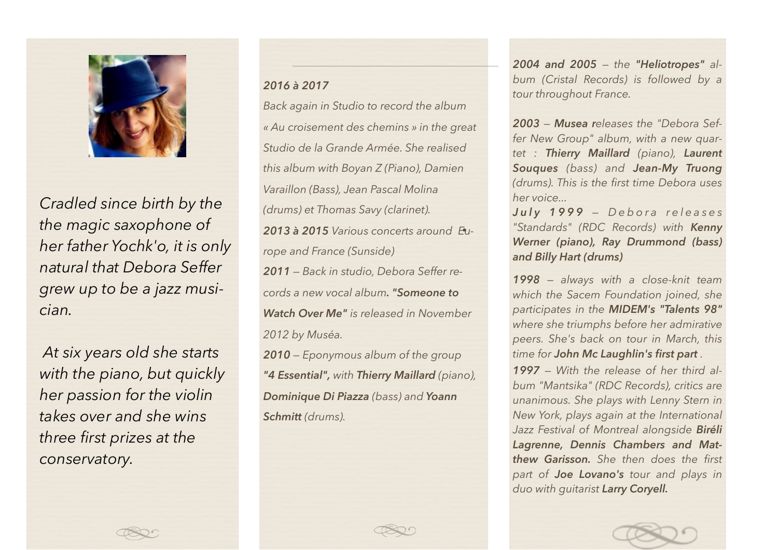

*Cradled since birth by the the magic saxophone of her father Yochk'o, it is only natural that Debora Seffer grew up to be a jazz musician.*

 *At six years old she starts with the piano, but quickly her passion for the violin takes over and she wins three first prizes at the conservatory.*

## *2016 à 2017*

*Back again in Studio to record the album « Au croisement des chemins » in the great Studio de la Grande Armée. She realised this album with Boyan Z (Piano), Damien Varaillon (Bass), Jean Pascal Molina (drums) et Thomas Savy (clarinet). 2013 à 2015 Various concerts around Europe and France (Sunside) 2011 — Back in studio, Debora Seffer records a new vocal album. "Someone to Watch Over Me" is released in November 2012 by Muséa.*

*2010 — Eponymous album of the group "4 Essential", with Thierry Maillard (piano), Dominique Di Piazza (bass) and Yoann Schmitt (drums).* 

*2004 and 2005 — the "Heliotropes" album (Cristal Records) is followed by a tour throughout France.*

*2003 — Musea releases the "Debora Seffer New Group" album, with a new quartet : Thierry Maillard (piano), Laurent Souques (bass) and Jean-My Truong (drums). This is the first time Debora uses her voice...*

*J u l y 1 9 9 9 — D e b o r a r e l e a s e s "Standards" (RDC Records) with Kenny Werner (piano), Ray Drummond (bass) and Billy Hart (drums)*

*1998 — always with a close-knit team which the Sacem Foundation joined, she participates in the MIDEM's "Talents 98" where she triumphs before her admirative peers. She's back on tour in March, this time for John Mc Laughlin's first part .* 

*1997 — With the release of her third album "Mantsika" (RDC Records), critics are unanimous. She plays with Lenny Stern in New York, plays again at the International Jazz Festival of Montreal alongside Biréli Lagrenne, Dennis Chambers and Matthew Garisson. She then does the first part of Joe Lovano's tour and plays in duo with guitarist Larry Coryell.*